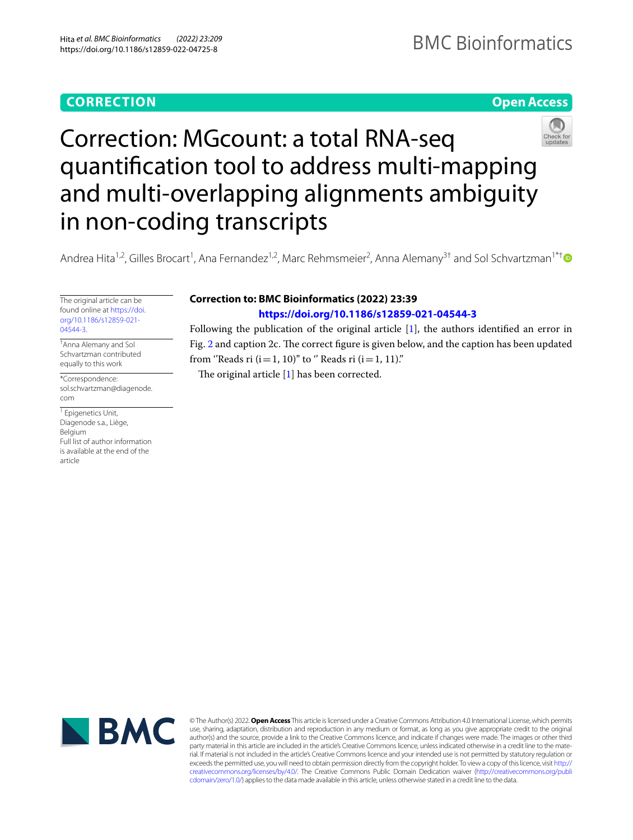# **CORRECTION**

## **Open Access**



Correction: MGcount: a total RNA‑seq quantification tool to address multi-mapping and multi-overlapping alignments ambiguity in non‑coding transcripts

Andrea Hita<sup>1,2</sup>, Gilles Brocart<sup>1</sup>, Ana Fernandez<sup>1,2</sup>, Marc Rehmsmeier<sup>2</sup>, Anna Alemany<sup>3[†](http://orcid.org/0000-0003-4330-1543)</sup> and Sol Schvartzman<sup>1\*†</sup>

The original article can be found online at [https://doi.](https://doi.org/10.1186/s12859-021-04544-3) [org/10.1186/s12859-021-](https://doi.org/10.1186/s12859-021-04544-3) [04544-3.](https://doi.org/10.1186/s12859-021-04544-3)

† Anna Alemany and Sol Schvartzman contributed equally to this work

\*Correspondence: sol.schvartzman@diagenode. com

<sup>1</sup> Epigenetics Unit, Diagenode s.a., Liège, Belgium Full list of author information is available at the end of the article

## **Correction to: BMC Bioinformatics (2022) 23:39**

## **<https://doi.org/10.1186/s12859-021-04544-3>**

Following the publication of the original article [[1\]](#page-1-0), the authors identifed an error in Fig. [2](#page-1-1) and caption 2c. The correct figure is given below, and the caption has been updated from "Reads ri  $(i=1, 10)$ " to " Reads ri  $(i=1, 11)$ ."

The original article  $[1]$  $[1]$  has been corrected.



© The Author(s) 2022. **Open Access** This article is licensed under a Creative Commons Attribution 4.0 International License, which permits use, sharing, adaptation, distribution and reproduction in any medium or format, as long as you give appropriate credit to the original author(s) and the source, provide a link to the Creative Commons licence, and indicate if changes were made. The images or other third party material in this article are included in the article's Creative Commons licence, unless indicated otherwise in a credit line to the material. If material is not included in the article's Creative Commons licence and your intended use is not permitted by statutory regulation or exceeds the permitted use, you will need to obtain permission directly from the copyright holder. To view a copy of this licence, visit [http://](http://creativecommons.org/licenses/by/4.0/) [creativecommons.org/licenses/by/4.0/.](http://creativecommons.org/licenses/by/4.0/) The Creative Commons Public Domain Dedication waiver [\(http://creativecommons.org/publi](http://creativecommons.org/publicdomain/zero/1.0/) [cdomain/zero/1.0/\)](http://creativecommons.org/publicdomain/zero/1.0/) applies to the data made available in this article, unless otherwise stated in a credit line to the data.